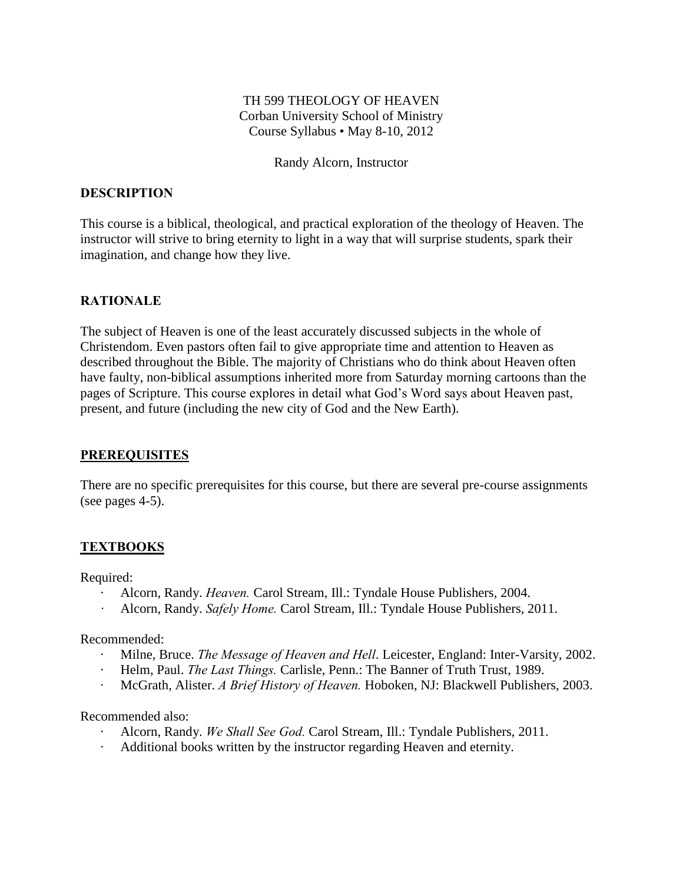# TH 599 THEOLOGY OF HEAVEN Corban University School of Ministry Course Syllabus • May 8-10, 2012

#### Randy Alcorn, Instructor

### **DESCRIPTION**

This course is a biblical, theological, and practical exploration of the theology of Heaven. The instructor will strive to bring eternity to light in a way that will surprise students, spark their imagination, and change how they live.

### **RATIONALE**

The subject of Heaven is one of the least accurately discussed subjects in the whole of Christendom. Even pastors often fail to give appropriate time and attention to Heaven as described throughout the Bible. The majority of Christians who do think about Heaven often have faulty, non-biblical assumptions inherited more from Saturday morning cartoons than the pages of Scripture. This course explores in detail what God's Word says about Heaven past, present, and future (including the new city of God and the New Earth).

#### **PREREQUISITES**

There are no specific prerequisites for this course, but there are several pre-course assignments (see pages 4-5).

# **TEXTBOOKS**

Required:

- · Alcorn, Randy. *Heaven.* Carol Stream, Ill.: Tyndale House Publishers, 2004.
- *·* Alcorn, Randy. *Safely Home.* Carol Stream, Ill.: Tyndale House Publishers, 2011.

Recommended:

- · Milne, Bruce. *The Message of Heaven and Hell*. Leicester, England: Inter-Varsity, 2002.
- · Helm, Paul. *The Last Things.* Carlisle, Penn.: The Banner of Truth Trust, 1989.
- · McGrath, Alister. *A Brief History of Heaven.* Hoboken, NJ: Blackwell Publishers, 2003.

Recommended also:

- · Alcorn, Randy. *We Shall See God.* Carol Stream, Ill.: Tyndale Publishers, 2011.
- · Additional books written by the instructor regarding Heaven and eternity.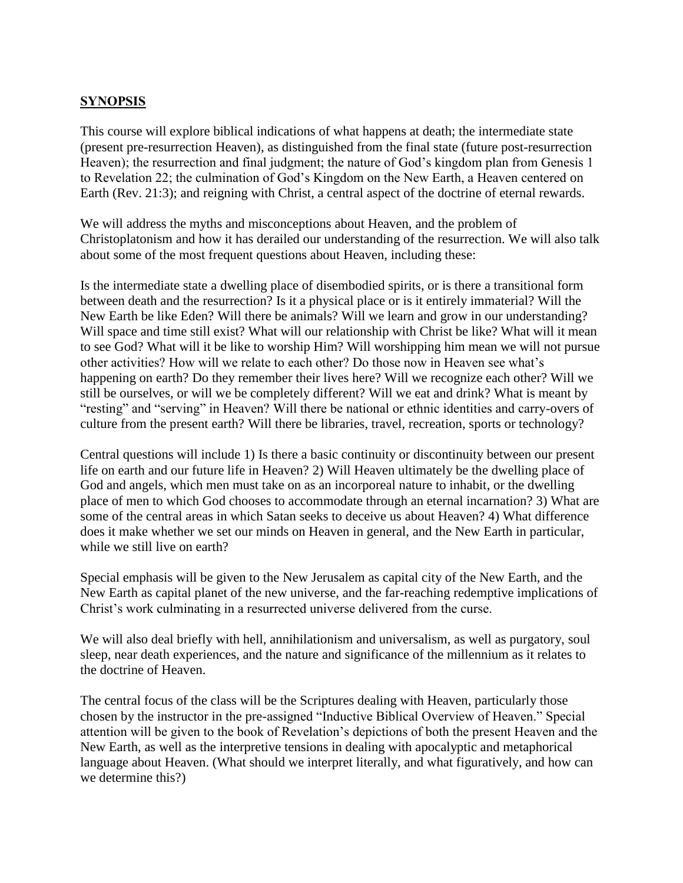# **SYNOPSIS**

This course will explore biblical indications of what happens at death; the intermediate state (present pre-resurrection Heaven), as distinguished from the final state (future post-resurrection Heaven); the resurrection and final judgment; the nature of God's kingdom plan from Genesis 1 to Revelation 22; the culmination of God's Kingdom on the New Earth, a Heaven centered on Earth (Rev. 21:3); and reigning with Christ, a central aspect of the doctrine of eternal rewards.

We will address the myths and misconceptions about Heaven, and the problem of Christoplatonism and how it has derailed our understanding of the resurrection. We will also talk about some of the most frequent questions about Heaven, including these:

Is the intermediate state a dwelling place of disembodied spirits, or is there a transitional form between death and the resurrection? Is it a physical place or is it entirely immaterial? Will the New Earth be like Eden? Will there be animals? Will we learn and grow in our understanding? Will space and time still exist? What will our relationship with Christ be like? What will it mean to see God? What will it be like to worship Him? Will worshipping him mean we will not pursue other activities? How will we relate to each other? Do those now in Heaven see what's happening on earth? Do they remember their lives here? Will we recognize each other? Will we still be ourselves, or will we be completely different? Will we eat and drink? What is meant by "resting" and "serving" in Heaven? Will there be national or ethnic identities and carry-overs of culture from the present earth? Will there be libraries, travel, recreation, sports or technology?

Central questions will include 1) Is there a basic continuity or discontinuity between our present life on earth and our future life in Heaven? 2) Will Heaven ultimately be the dwelling place of God and angels, which men must take on as an incorporeal nature to inhabit, or the dwelling place of men to which God chooses to accommodate through an eternal incarnation? 3) What are some of the central areas in which Satan seeks to deceive us about Heaven? 4) What difference does it make whether we set our minds on Heaven in general, and the New Earth in particular, while we still live on earth?

Special emphasis will be given to the New Jerusalem as capital city of the New Earth, and the New Earth as capital planet of the new universe, and the far-reaching redemptive implications of Christ's work culminating in a resurrected universe delivered from the curse.

We will also deal briefly with hell, annihilationism and universalism, as well as purgatory, soul sleep, near death experiences, and the nature and significance of the millennium as it relates to the doctrine of Heaven.

The central focus of the class will be the Scriptures dealing with Heaven, particularly those chosen by the instructor in the pre-assigned "Inductive Biblical Overview of Heaven." Special attention will be given to the book of Revelation's depictions of both the present Heaven and the New Earth, as well as the interpretive tensions in dealing with apocalyptic and metaphorical language about Heaven. (What should we interpret literally, and what figuratively, and how can we determine this?)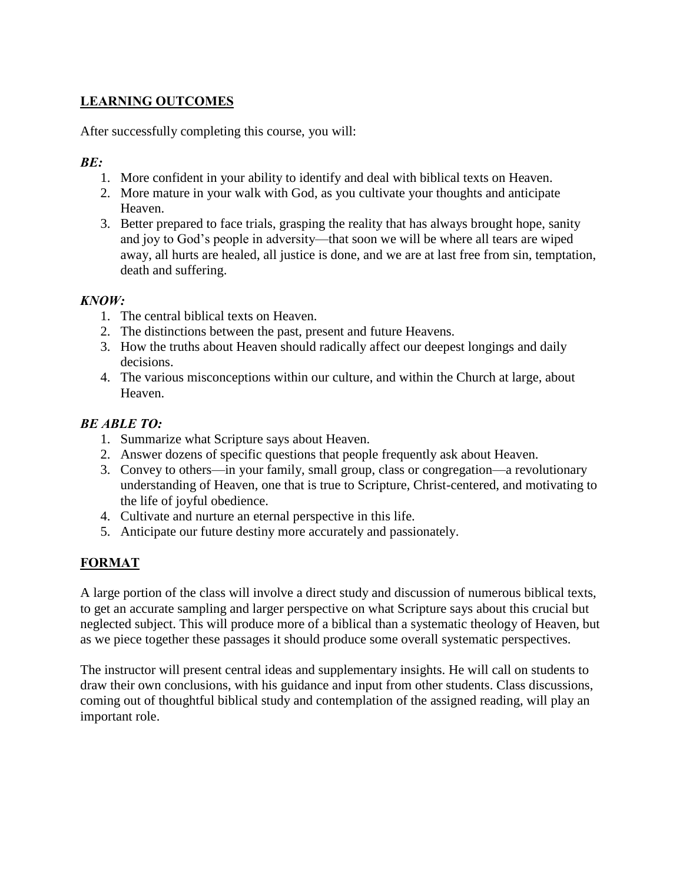# **LEARNING OUTCOMES**

After successfully completing this course, you will:

# *BE:*

- 1. More confident in your ability to identify and deal with biblical texts on Heaven.
- 2. More mature in your walk with God, as you cultivate your thoughts and anticipate Heaven.
- 3. Better prepared to face trials, grasping the reality that has always brought hope, sanity and joy to God's people in adversity—that soon we will be where all tears are wiped away, all hurts are healed, all justice is done, and we are at last free from sin, temptation, death and suffering.

# *KNOW:*

- 1. The central biblical texts on Heaven.
- 2. The distinctions between the past, present and future Heavens.
- 3. How the truths about Heaven should radically affect our deepest longings and daily decisions.
- 4. The various misconceptions within our culture, and within the Church at large, about Heaven.

# *BE ABLE TO:*

- 1. Summarize what Scripture says about Heaven.
- 2. Answer dozens of specific questions that people frequently ask about Heaven.
- 3. Convey to others—in your family, small group, class or congregation—a revolutionary understanding of Heaven, one that is true to Scripture, Christ-centered, and motivating to the life of joyful obedience.
- 4. Cultivate and nurture an eternal perspective in this life.
- 5. Anticipate our future destiny more accurately and passionately.

# **FORMAT**

A large portion of the class will involve a direct study and discussion of numerous biblical texts, to get an accurate sampling and larger perspective on what Scripture says about this crucial but neglected subject. This will produce more of a biblical than a systematic theology of Heaven, but as we piece together these passages it should produce some overall systematic perspectives.

The instructor will present central ideas and supplementary insights. He will call on students to draw their own conclusions, with his guidance and input from other students. Class discussions, coming out of thoughtful biblical study and contemplation of the assigned reading, will play an important role.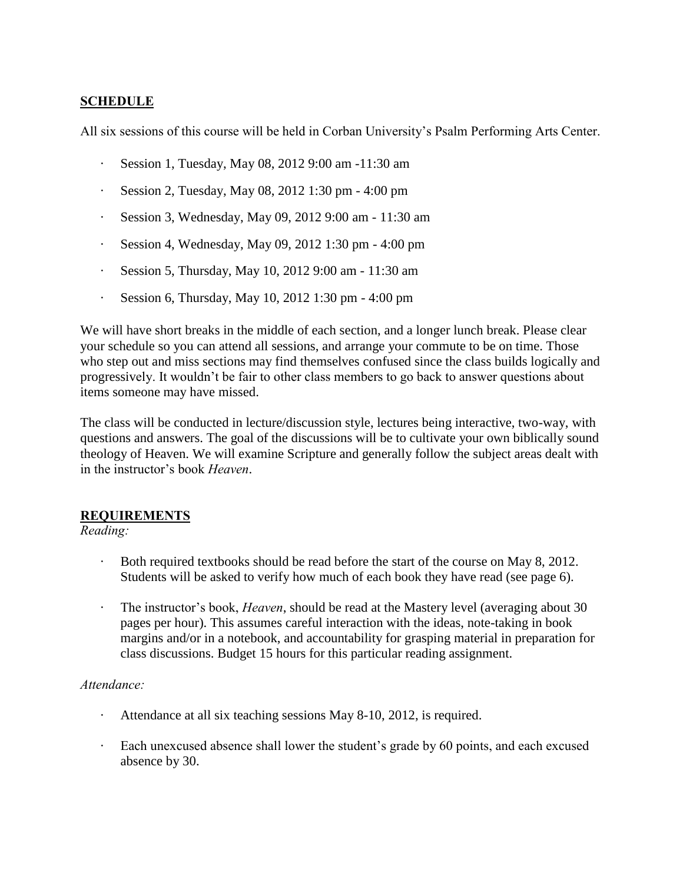# **SCHEDULE**

All six sessions of this course will be held in Corban University's Psalm Performing Arts Center.

- · Session 1, Tuesday, May 08, 2012 9:00 am -11:30 am
- · Session 2, Tuesday, May 08, 2012 1:30 pm 4:00 pm
- · Session 3, Wednesday, May 09, 2012 9:00 am 11:30 am
- · Session 4, Wednesday, May 09, 2012 1:30 pm 4:00 pm
- · Session 5, Thursday, May 10, 2012 9:00 am 11:30 am
- · Session 6, Thursday, May 10, 2012 1:30 pm 4:00 pm

We will have short breaks in the middle of each section, and a longer lunch break. Please clear your schedule so you can attend all sessions, and arrange your commute to be on time. Those who step out and miss sections may find themselves confused since the class builds logically and progressively. It wouldn't be fair to other class members to go back to answer questions about items someone may have missed.

The class will be conducted in lecture/discussion style, lectures being interactive, two-way, with questions and answers. The goal of the discussions will be to cultivate your own biblically sound theology of Heaven. We will examine Scripture and generally follow the subject areas dealt with in the instructor's book *Heaven*.

# **REQUIREMENTS**

# *Reading:*

- · Both required textbooks should be read before the start of the course on May 8, 2012. Students will be asked to verify how much of each book they have read (see page 6).
- · The instructor's book, *Heaven*, should be read at the Mastery level (averaging about 30 pages per hour). This assumes careful interaction with the ideas, note-taking in book margins and/or in a notebook, and accountability for grasping material in preparation for class discussions. Budget 15 hours for this particular reading assignment.

#### *Attendance:*

- Attendance at all six teaching sessions May 8-10, 2012, is required.
- · Each unexcused absence shall lower the student's grade by 60 points, and each excused absence by 30.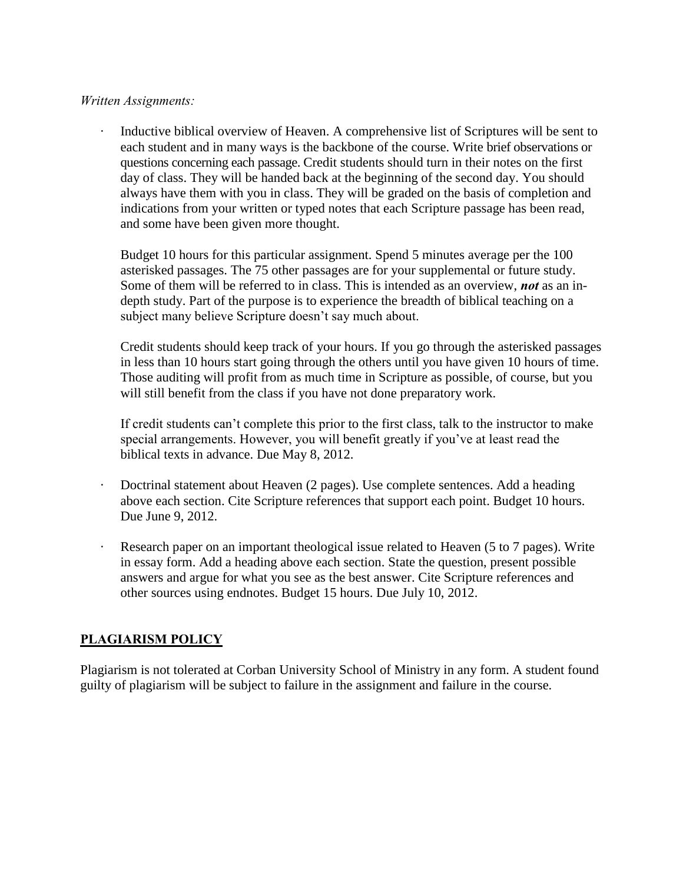#### *Written Assignments:*

· Inductive biblical overview of Heaven. A comprehensive list of Scriptures will be sent to each student and in many ways is the backbone of the course. Write brief observations or questions concerning each passage. Credit students should turn in their notes on the first day of class. They will be handed back at the beginning of the second day. You should always have them with you in class. They will be graded on the basis of completion and indications from your written or typed notes that each Scripture passage has been read, and some have been given more thought.

Budget 10 hours for this particular assignment. Spend 5 minutes average per the 100 asterisked passages. The 75 other passages are for your supplemental or future study. Some of them will be referred to in class. This is intended as an overview, *not* as an indepth study. Part of the purpose is to experience the breadth of biblical teaching on a subject many believe Scripture doesn't say much about.

Credit students should keep track of your hours. If you go through the asterisked passages in less than 10 hours start going through the others until you have given 10 hours of time. Those auditing will profit from as much time in Scripture as possible, of course, but you will still benefit from the class if you have not done preparatory work.

If credit students can't complete this prior to the first class, talk to the instructor to make special arrangements. However, you will benefit greatly if you've at least read the biblical texts in advance. Due May 8, 2012.

- · Doctrinal statement about Heaven (2 pages). Use complete sentences. Add a heading above each section. Cite Scripture references that support each point. Budget 10 hours. Due June 9, 2012.
- Research paper on an important theological issue related to Heaven (5 to 7 pages). Write in essay form. Add a heading above each section. State the question, present possible answers and argue for what you see as the best answer. Cite Scripture references and other sources using endnotes. Budget 15 hours. Due July 10, 2012.

# **PLAGIARISM POLICY**

Plagiarism is not tolerated at Corban University School of Ministry in any form. A student found guilty of plagiarism will be subject to failure in the assignment and failure in the course.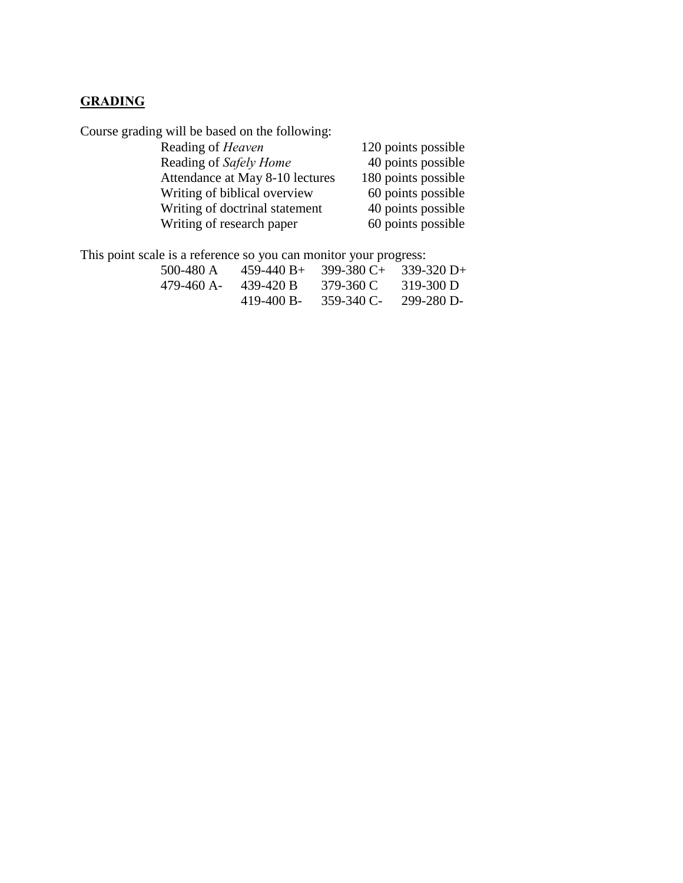# **GRADING**

Course grading will be based on the following:

| 120 points possible |
|---------------------|
| 40 points possible  |
| 180 points possible |
| 60 points possible  |
| 40 points possible  |
| 60 points possible  |
|                     |

This point scale is a reference so you can monitor your progress:

| 500-480 A  | $459 - 440 B +$ | $399-380C+$ | $339-320 D+$ |
|------------|-----------------|-------------|--------------|
| 479-460 A- | 439-420 B       | 379-360 C   | $319-300 D$  |
|            | 419-400 B-      | 359-340 C-  | 299-280 D-   |